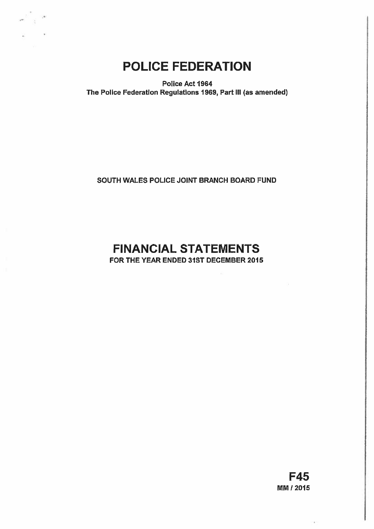

# POLICE FEDERATION

Police Act 1964 The Police Federation Regulations 1969, Part Ill (as amended)

# SOUTH WALES POLICE JOINT BRANCH BOARD FUND

# FINANCIAL STATEMENTS

FOR THE YEAR ENDED 31ST DECEMBER 2015

F45 MM 12015

í.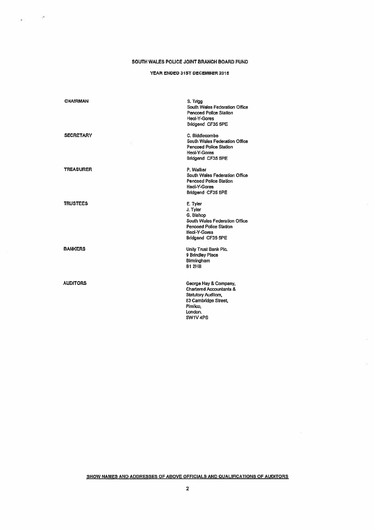## SOUTH WALES POUCE JOINT BRANCH BOARD FUND

 $\mathcal{L}^{\mathcal{L}}$  . We set  $\mathcal{L}^{\mathcal{L}}$ 

## YEAR ENDED 31ST DECEMBER 2015

| <b>CHAIRMAN</b>  | S. Trigg<br>South Wales Federation Office<br><b>Pencoad Police Station</b><br>Heol-Y-Gores<br>Bridgend CF35 5PE                                      |
|------------------|------------------------------------------------------------------------------------------------------------------------------------------------------|
| <b>SECRETARY</b> | C. Biddlecombe<br><b>South Wales Federation Office</b><br><b>Pencoed Police Station</b><br><b>Heol-Y-Gores</b><br>Bridgend CF35 5PE                  |
| <b>TREASURER</b> | P. Walker<br>South Wales Federation Office<br><b>Pencoed Police Station</b><br><b>Heol-Y-Gores</b><br>Bridgend CF35 5PE                              |
| <b>TRUSTEES</b>  | E. Tyler<br>J. Tyler<br>G. Bishop<br>South Wales Federation Office<br><b>Pencoed Police Station</b><br>Heol-Y-Gores<br>Bridgend CF35 5PE             |
| <b>BANKERS</b>   | <b>Unity Trust Bank Pic.</b><br>9 Brindley Place<br>Birmingham<br><b>B1 2HB</b>                                                                      |
| <b>AUDITORS</b>  | George Hay & Company,<br><b>Chartered Accountants &amp;</b><br><b>Statutory Auditors,</b><br>83 Cambridge Street,<br>Pimlico.<br>London.<br>SW1V 4PS |

SHOW NAMES AND ADDRESSES OF ABOVE OFFICIALS AND QUALIFICATIONS OF AUDITORS

 $\Omega$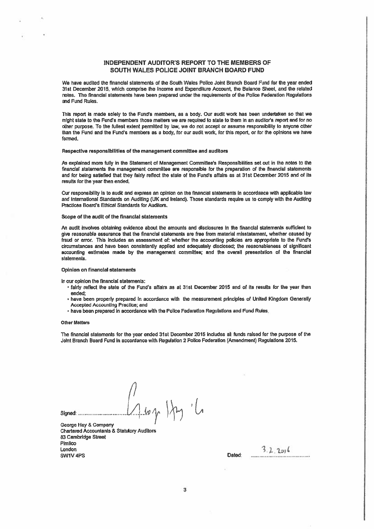# INDEPENDENT AUDITOR'S REPORT TO THE MEMBERS OF SOUTH WALES POLICE JOINT BRANCH BOARD FUND

We have audited the financial statements of the South Wales Police Joint Branch Board Fund for the year ended 31st December 2015, which comprise the Income and Expenditure Account, the Balance Sheet, and the related notes. Tho financial statements have been prepared under the requirements of the Police Federation Regulations and Fund Rules.

This report is made solely to the Fund's members, as a body. Our audit work has been undertaken so that we might state to the Fund's members those matters we are required to state to them in an auditor's report and for no other purpose. To the fullest extent permitted by law, we do not accep<sup>t</sup> or assume responsibility to anyone other than the Fund and the Fund's members as <sup>a</sup> body, for our audit work, for this report, or for the opinions we have formed.

#### Respective responsibilities of the managemen<sup>t</sup> committee and auditors

As explained more fully in the Statement of Management Committee's Responsibilities set out in the notes to the financiai statements the managemen<sup>t</sup> committee are responsible for the preparation of the financial statements and for being satisfied that they fairly reflect the state of the Funds affairs as at 31st December 2015 and of its results for the year then ended.

Our responsibility Is to audit and express an opinion on the financial statements In accordance with applicable law and International Standards on Auditing (UK and Ireland). Those standards require us to comply with the Auditing Practices Board's Ethical Standards for Auditors.

## Scope of the audit of the financial statements

An audit involves obtaining evidence about the amounts and disclosures in the financial statements sufficient to give reasonable assurance that the financial statements are free from material misstatement, whether caused by fraud or error. This includes an assessment of: whether the accounting policies are appropriate to the Fund's circumstances and have been consistently applied and adequately disclosed; the reasonableness of significant accounting estimates made by the managemen<sup>t</sup> committee; and the overall presentation of the finencial statements.

#### Opinion on financial statements

In our opinion the financial statements:

- fairly reflect the state of the Fund's affairs as at 31st December 2015 and of Its results for the year then ended;
- have been properly prepared In accordance with the measurement principles of United Kingdom Generally Accepted Accounting Practice; and
- have been prepared in accordance with the Police Federation Regulations and Fund Rules.

#### Other Matters

The financial statements for the year ended 31st December 2015 includes all funds raised for the purpose of the Joint Branch Board Fund in accordance with Regulation 2 Police Federation (Amendment) Regulations 2015.

// Signed:  $\frac{1}{2}$  is  $\sqrt{2}$ 

George Hay & Company Chartered Accountants & Statutory Auditors 83 Cambridge Street **Pimlico**  $\frac{3}{2}$ ,  $\frac{2}{10}$  switching the contract of the contract of the contract of the contract of the contract of the contract of the contract of the contract of the contract of the contract of the contract of the contract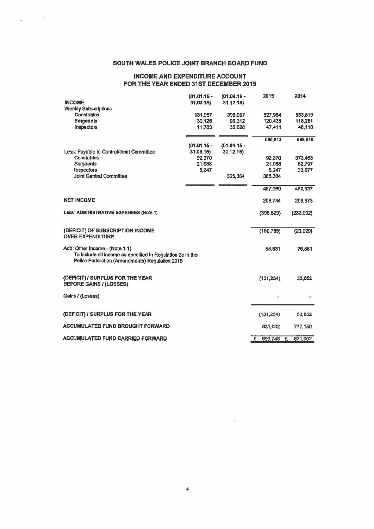# SOUTH WALES POLICE JOINT BRANCH BOARD FUND

 $\rightarrow$ 

 $\sim$ 

# INCOME AND EXPENDITURE ACCOUNT FOR THE YEAR ENDED 31ST DECEMBER 2015

| <b>INCOME</b><br><b>Weekly Subscriptions</b>                                                                                                   | $(01.01.15 -$<br>31.03.15 | $(01.04.15 -$<br>31.12.15 | 2015                      | 2014         |
|------------------------------------------------------------------------------------------------------------------------------------------------|---------------------------|---------------------------|---------------------------|--------------|
| Constables                                                                                                                                     | 131,957                   | 396,007                   | 527,964                   | 533,519      |
| Sergeants                                                                                                                                      | 30,126                    | 90,312                    | 120,438                   | 118,281      |
| Inspectors                                                                                                                                     | 11,783                    | 35,628                    | 47,411                    | 48,110       |
|                                                                                                                                                |                           |                           | 695,813                   | 699,910      |
|                                                                                                                                                | $(01.01.15 -$             | $(01.04.15 -$             |                           |              |
| Less: Payable to Central/Joint Committee                                                                                                       | 31.03.15                  | 31.12.15                  |                           |              |
| <b>Constables</b>                                                                                                                              | 92,370                    |                           | 92,370                    | 373,463      |
| <b>Sergeants</b>                                                                                                                               | 21,088                    |                           | 21,088                    | 82,797       |
| <b>Inspectors</b>                                                                                                                              | 8,247                     |                           | 8,247                     | 33,677       |
| <b>Joint Central Committee</b>                                                                                                                 |                           | 365,364                   | 365,364                   |              |
|                                                                                                                                                |                           |                           | 467,069                   | 489,937      |
| <b>NET INCOME</b>                                                                                                                              |                           |                           | 208,744                   | 209,973      |
| Less: ADMINISTRATIVE EXPENSES (Note 1)                                                                                                         |                           |                           | (398, 529)                | (233,002)    |
| (DEFICIT) OF SUBSCRIPTION INCOME<br><b>OVER EXPENDITURE</b>                                                                                    |                           |                           | (189,785)                 | (23, 029)    |
| Add: Other Income - (Note 1.1)<br>To include all income as specified in Regulation 2c in the<br>Police Federation (Amendments) Regulation 2015 |                           |                           | 58,531                    | 76,881       |
| (DEFICIT) / SURPLUS FOR THE YEAR<br><b>BEFORE GAINS / (LOSSES)</b>                                                                             |                           |                           | (131, 254)                | 53,852       |
| Gains / (Losses)                                                                                                                               |                           |                           |                           |              |
|                                                                                                                                                |                           |                           |                           |              |
| (DEFICIT) / SURPLUS FOR THE YEAR                                                                                                               |                           |                           | (131, 254)                | 53,852       |
| <b>ACCUMULATED FUND BROUGHT FORWARD</b>                                                                                                        |                           |                           | 831,002                   | 777,150      |
| <b>ACCUMULATED FUND CARRIED FORWARD</b>                                                                                                        |                           |                           | $\overline{E}$<br>699,748 | £<br>831,002 |

 $\sim$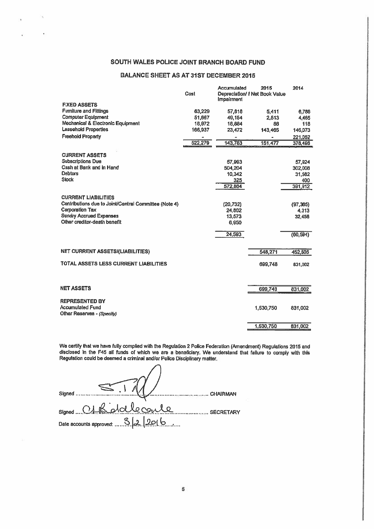# SOUTH WALES POLICE JOINT BRANCH BOARD FUND

# BALANCE SHEET AS AT 31ST DECEMBER 2016

|                                                       |         | Accumulated | 2015                          | 2014      |
|-------------------------------------------------------|---------|-------------|-------------------------------|-----------|
|                                                       | Cost    | Impairment  | Depreciation/ FNet Book Value |           |
| <b>FIXED ASSETS</b>                                   |         |             |                               |           |
| <b>Fumilure and Fittings</b>                          | 63,229  | 57,818      | 5,411                         | 6,788     |
| <b>Computer Equipment</b>                             | 51,667  | 49,154      | 2,513                         | 4,465     |
| Mechanical & Electronic Equipment                     | 18,972  | 18,884      | 88                            | 118       |
| <b>Leasehold Properties</b>                           | 166,937 | 23,472      | 143,465                       | 146,073   |
| <b>Freehold Property</b>                              |         |             |                               | 221,052   |
|                                                       | 522,279 | 143,783     | 151.477                       | 378,496   |
|                                                       |         |             |                               |           |
| <b>CURRENT ASSETS</b>                                 |         |             |                               |           |
| <b>Subscriptions Due</b>                              |         | 57,993      |                               | 57,924    |
| Cash at Bank and in Hand                              |         | 504,204     |                               | 302,008   |
| <b>Debtors</b>                                        |         | 10,342      |                               | 31,582    |
| <b>Stock</b>                                          |         | 325         |                               | 400       |
|                                                       |         | 572,864     |                               | 391,912   |
| <b>CURRENT LIABILITIES</b>                            |         |             |                               |           |
| Contributions due to Joint/Central Committee (Note 4) |         | (20, 732)   |                               | (97, 365) |
| <b>Corporation Tax</b>                                |         | 24,802      |                               | 4.313     |
| <b>Sundry Accrued Expenses</b>                        |         | 13,573      |                               | 32,458    |
| Other creditor-death benefit                          |         | 6,950       |                               |           |
|                                                       |         |             |                               |           |
|                                                       |         | 24,593      |                               | (60, 594) |
|                                                       |         |             |                               |           |
| <b>NET CURRENT ASSETS/(LIABILITIES)</b>               |         |             | 548,271                       | 452,506   |
| TOTAL ASSETS LESS CURRENT LIABILITIES                 |         |             | 699,748                       | 831,002   |
|                                                       |         |             |                               |           |
|                                                       |         |             |                               |           |
| <b>NET ASSETS</b>                                     |         |             | 699,748                       | 831,002   |
|                                                       |         |             |                               |           |
| <b>REPRESENTED BY</b>                                 |         |             |                               |           |
| <b>Accumulated Fund</b>                               |         |             | 1,530,750                     | 831,002   |
| Other Reserves - (Specify)                            |         |             |                               |           |
|                                                       |         |             | 1,530,750                     | 831,002   |
|                                                       |         |             |                               |           |

We certify (hat we have fully complied with (he Regulation <sup>2</sup> Police Federation (Amendment) Regulations <sup>2015</sup> and disclosed In the F45 all funds of which we are <sup>a</sup> beneficiary. We understand that failure to comply with this Regulation could be deemed <sup>a</sup> criminal and/or Police Disciplinary matter.

| $\sim$ $\sim$<br>Signed<br><b>CHAIRMAN</b> |
|--------------------------------------------|
| signed C1 Bioldlecoule<br><b>SECRETARY</b> |
|                                            |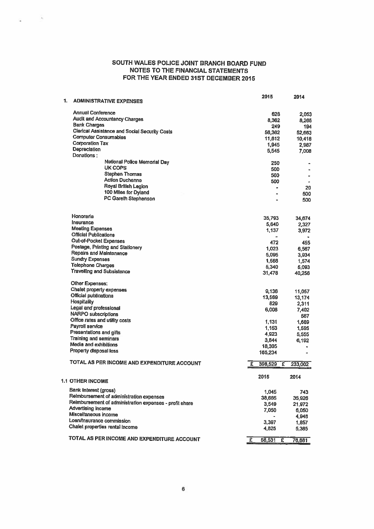# SOUTH WALES POLICE JOINT BRANCH BOARD FUND NOTES TO ThE FINANCIAL STATEMENTS FOR THE YEAR ENDED 31ST DECEMBER 2015

 $\mathcal{A}_1$ 

湓

| 1. | <b>ADMINISTRATIVE EXPENSES</b>                          | 2015            |     | 2014           |
|----|---------------------------------------------------------|-----------------|-----|----------------|
|    | <b>Annual Conference</b>                                | 628             |     |                |
|    | <b>Audit and Accountancy Charges</b>                    | 8,362           |     | 2,053<br>8,265 |
|    | <b>Bank Charges</b>                                     | 249             |     | 194            |
|    | <b>Clerical Assistance and Social Security Costs</b>    | 56,362          |     | 52,663         |
|    | <b>Computer Consumables</b>                             | 11,812          |     | 10,418         |
|    | <b>Corporation Tax</b>                                  | 1,945           |     | 2,987          |
|    | Depreciation                                            | 5,545           |     | 7,008          |
|    | Donations:                                              |                 |     |                |
|    | National Police Memorial Day                            | 250             |     |                |
|    | <b>UK COPS</b>                                          | 500             |     | ۰              |
|    | <b>Stephen Thomas</b>                                   | 500             |     |                |
|    | <b>Action Duchenne</b>                                  | 500             |     |                |
|    | Royal British Legion                                    | $\blacksquare$  |     | 20             |
|    | 100 Miles for Dyland                                    |                 |     | 500            |
|    | <b>PC Gareth Stephenson</b>                             |                 |     | 500            |
|    |                                                         |                 |     |                |
|    | Honoraria                                               | 35,793          |     | 34,674         |
|    | Insurance                                               | 5,640           |     | 2,327          |
|    | <b>Meeting Expenses</b>                                 | 1,137           |     | 3,972          |
|    | <b>Official Publications</b>                            |                 |     |                |
|    | <b>Out-of-Pocket Expenses</b>                           | 472             |     | 455            |
|    | Postage, Printing and Stationery                        | 1,023           |     | 6,567          |
|    | Repairs and Maintenance                                 | 5.095           |     | 3,934          |
|    | <b>Sundry Expenses</b>                                  | 1,566           |     | 1,574          |
|    | <b>Telephone Charges</b>                                | 5,340           |     | 5,093          |
|    | <b>Travelling and Subsistence</b>                       | 31,478          |     | 40,256         |
|    | Other Expenses:                                         |                 |     |                |
|    | Chalet property expenses                                | 9,136           |     | 11,057         |
|    | Official publications                                   | 13,569          |     | 13,174         |
|    | <b>Hospitality</b>                                      | 829             |     | 2,311          |
|    | Legal and professional                                  | 6,008           |     | 7,402          |
|    | <b>NARPO</b> subscriptions                              |                 |     | 567            |
|    | Office rates and utility costs                          | 1.131           |     | 1,689          |
|    | Payroll service                                         | 1,153           |     | 1,595          |
|    | Presentations and gifts                                 | 4,923           |     | 5,555          |
|    | Training and seminars                                   | 3,844           |     | 6,192          |
|    | Media and exhibitions                                   | 18,305          |     |                |
|    | Property disposal loss                                  | 165,234         |     | a.             |
|    | TOTAL AS PER INCOME AND EXPENDITURE ACCOUNT             | 398,529<br>£    | - £ | 233,002        |
|    |                                                         | 2015            |     | 2014           |
|    | <b>1.1 OTHER INCOME</b>                                 |                 |     |                |
|    | Bank Interest (gross)                                   | 1,045           |     | 743            |
|    | Reimbursement of administration expenses                | 38,665          |     | 35,926         |
|    | Reimbursement of administration expenses - profit share | 3,549           |     | 21,972         |
|    | Advertising income                                      | 7,050           |     | 6,050          |
|    | Miscellaneous income                                    |                 |     | 4,948          |
|    | Loan/Insurance commission                               | 3,397           |     | 1,857          |
|    | Chalet properties rental income                         | 4,825           |     | 5,385          |
|    | TOTAL AS PER INCOME AND EXPENDITURE ACCOUNT             | £<br>$58,531$ £ |     | 76,881         |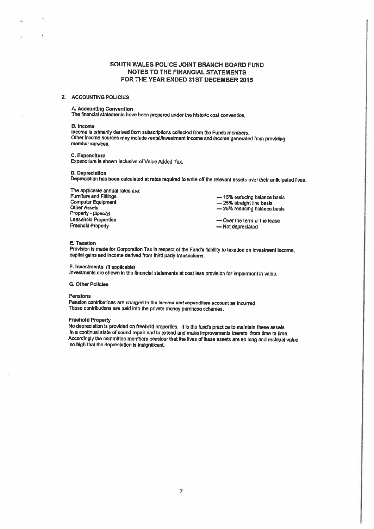# SOUTH WALES POLICE JOINT BRANCH BOARD FUND NOTES TO THE FINANCIAL STATEMENTS FOR THE YEAR ENDED 31ST DECEMBER 2015

### 2. ACCOUNTING POLICIES

# A. Accounting Convention

The financial statements have been prepared under the historic cost convention.

#### B. Income

Income is primarily derived from subscriptions collected from the Funds members. Other Income sources may include rental/investment income and income generated from providing<br>member services.

C. Expenditure Expenditure is shown inclusive of Value Added Tax.

#### 0. Depreciation

Depreciation has been calculated at rates required to write off the relevant assets over their anticipated lives.

The applicable annual rates are:<br>Furniture and Fittings Furniture and Fittings<br>
Computer Equipment<br>
Other Assets<br>
Other Assets<br>  $\begin{array}{r} -25\% \text{ straight line basis} \\ -25\% \text{ radius plane basis} \\ -25\% \text{ radius plane basis} \end{array}$ Other Assets<br>
Property - (Specify)<br>
Leasehold Properties<br>
Leasehold Properties<br>  $\longrightarrow$  Over the term of the lease Leasehold Properties — Cover the term of the lease<br>
Freehold Propertiv

- Not depreciated

## E. Taxation

Provision is made for Corporation Tax in respect of the Fund's ilability to taxation on Investment income, capital gains and income derived from third party transactions.

# F. Investments (If applicable)

investments are shown in the financial statements at cost less prevision for impairment in vaiue.

## **G. Other Policies**

#### Pensions

Pension contributions are charged to the income and expenditure account as incurred. These contributions are paid into the private money purchase schemes.

## Freehold Property

No depreciation is provided on freehold properties. it is the fund's practice to maintain these assets in <sup>a</sup> continual state of sound repair and to extend and make Improvements thereto from time to time, Accordingly the committee members consider that the lives of these assets are so long and residual value so high that the depreciation is insignificant.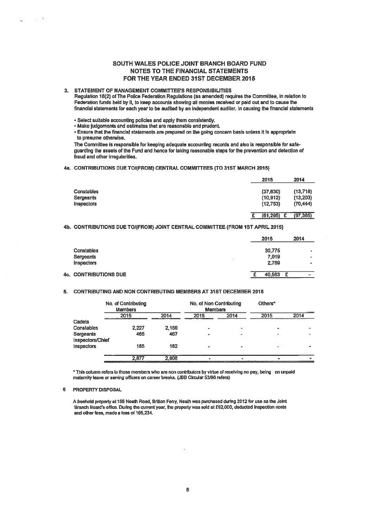# SOUTH WALES POLICE JOINT BRANCH BOARD FUND NOTES TO THE FINANCIAL STATEMENTS FOR THE YEAR ENDED 31ST DECEMBER 2015

## 3. STATEMENT OF MANAGEMENT COMMITTEE'S RESPONSIBILITIES

Regulation 18(2) of The Police Federation Regulations (as amended) requires the Committee, in relation to Federallon funds held by It, to keep accounts showing all monies received or paid out and to cause the financial statements for each year to be audited by an independent auditor. In causing the financial statements

 $\cdot$  Select suitable accounting policies and apply them consistently.

• Make judgements and estimates that are reasonable and prudent.

Ensure that the financial statements are prepared on the going concern basis unless it is appropriate to presume otherwise.

The Committee is responsible for keeping adequate accounting records and also is responsible for safeguarding the assets of the Fund and hence for taking reasonable steps for the preventIon and detection of fraud and other irregularities.

## 4a. CONTRIBUTIONS DUE TO/(FROM) CENTRAL COMMITTEES (To 31ST MARCH 2015)

| 2015      | 2014                             |
|-----------|----------------------------------|
|           | (13, 718)                        |
| (10, 912) | (13, 203)                        |
| (12,753)  | (70, 444)                        |
|           | (97, 365)                        |
|           | (37, 630)<br>£<br>(61, 295)<br>£ |

## 4b. CONTRIBUTIONS DUE TO/(FROM) JOINT CENTRAL COMMITTEE (FROM 1ST APRIL 2015)

|                          | 2015   | 2014                    |
|--------------------------|--------|-------------------------|
| Constables               | 30,775 | ٠                       |
| Sergeants                | 7.019  | ۰                       |
| Inspectors               | 2,769  | $\qquad \qquad \bullet$ |
| <b>CONTRIBUTIONS DUE</b> | 40,563 | £<br>$\bullet$          |

## 5. CONTRIBUTING AND NON CONTRIBUTING MEMBERS AT 31ST DECEMBER 2015

|                               | No. of Contributing<br><b>Members</b> |       | No. of Non Contributing<br><b>Members</b> |                      | Others*                  |      |
|-------------------------------|---------------------------------------|-------|-------------------------------------------|----------------------|--------------------------|------|
|                               | 2015                                  | 2014  | 2015                                      | 2014                 | 2015                     | 2014 |
| Cadets                        |                                       |       |                                           |                      |                          |      |
| Constables                    | 2.227                                 | 2.159 |                                           | $\ddot{\phantom{1}}$ |                          |      |
| Sergeants<br>Inspectors/Chief | 465                                   | 467   |                                           | ×                    | $\overline{\phantom{a}}$ |      |
| Inspectors                    | 185                                   | 182   | ۰                                         | ٠                    | a.                       |      |
|                               | 2,877                                 | 2,808 |                                           |                      | $\bullet\bullet$         |      |

'This column refers to those members who era non contributors by virtue of receiving no pay, being on unpaid maternity leave or serving officers on career breaks, (JBB Circular 53/96 refers)

#### 6 PROPERTY DISPOSAL

4c.

- 5

A freehold property at 155 Neath Road, Britton Ferry, Neath was purchased during 2012 for use as the Joint Branch Board's office. During the current year, the property was sold at £92,000, deducted inspection costs and other fees, made <sup>a</sup> loss of 165,234.